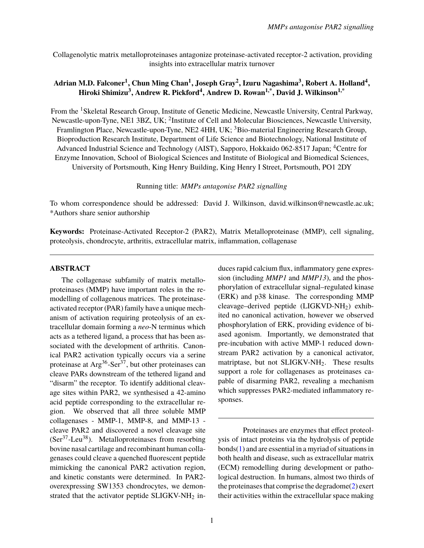Collagenolytic matrix metalloproteinases antagonize proteinase-activated receptor-2 activation, providing insights into extracellular matrix turnover

## Adrian M.D. Falconer<sup>1</sup>, Chun Ming Chan<sup>1</sup>, Joseph Gray<sup>2</sup>, Izuru Nagashima<sup>3</sup>, Robert A. Holland<sup>4</sup>, **Hiroki Shimizu<sup>3</sup> , Andrew R. Pickford<sup>4</sup> , Andrew D. Rowan1,\* , David J. Wilkinson1,\***

From the <sup>1</sup>Skeletal Research Group, Institute of Genetic Medicine, Newcastle University, Central Parkway, Newcastle-upon-Tyne, NE1 3BZ, UK; <sup>2</sup>Institute of Cell and Molecular Biosciences, Newcastle University, Framlington Place, Newcastle-upon-Tyne, NE2 4HH, UK; <sup>3</sup>Bio-material Engineering Research Group. Bioproduction Research Institute, Department of Life Science and Biotechnology, National Institute of Advanced Industrial Science and Technology (AIST), Sapporo, Hokkaido 062-8517 Japan; <sup>4</sup>Centre for Enzyme Innovation, School of Biological Sciences and Institute of Biological and Biomedical Sciences, University of Portsmouth, King Henry Building, King Henry I Street, Portsmouth, PO1 2DY

Running title: *MMPs antagonise PAR2 signalling*

To whom correspondence should be addressed: David J. Wilkinson, david.wilkinson@newcastle.ac.uk; \*Authors share senior authorship

**Keywords:** Proteinase-Activated Receptor-2 (PAR2), Matrix Metalloproteinase (MMP), cell signaling, proteolysis, chondrocyte, arthritis, extracellular matrix, inflammation, collagenase

### **ABSTRACT**

The collagenase subfamily of matrix metalloproteinases (MMP) have important roles in the remodelling of collagenous matrices. The proteinaseactivated receptor (PAR) family have a unique mechanism of activation requiring proteolysis of an extracellular domain forming a *neo*-N terminus which acts as a tethered ligand, a process that has been associated with the development of arthritis. Canonical PAR2 activation typically occurs via a serine proteinase at  $Arg^{36}$ -Ser<sup>37</sup>, but other proteinases can cleave PARs downstream of the tethered ligand and "disarm" the receptor. To identify additional cleavage sites within PAR2, we synthesised a 42-amino acid peptide corresponding to the extracellular region. We observed that all three soluble MMP collagenases - MMP-1, MMP-8, and MMP-13 cleave PAR2 and discovered a novel cleavage site  $(Ser<sup>37</sup>-Leu<sup>38</sup>)$ . Metalloproteinases from resorbing bovine nasal cartilage and recombinant human collagenases could cleave a quenched fluorescent peptide mimicking the canonical PAR2 activation region, and kinetic constants were determined. In PAR2 overexpressing SW1353 chondrocytes, we demonstrated that the activator peptide SLIGKV-NH<sub>2</sub> induces rapid calcium flux, inflammatory gene expression (including *MMP1* and *MMP13*), and the phosphorylation of extracellular signal–regulated kinase (ERK) and p38 kinase. The corresponding MMP cleavage–derived peptide (LIGKVD-NH2) exhibited no canonical activation, however we observed phosphorylation of ERK, providing evidence of biased agonism. Importantly, we demonstrated that pre-incubation with active MMP-1 reduced downstream PAR2 activation by a canonical activator, matriptase, but not SLIGKV-NH<sub>2</sub>. These results support a role for collagenases as proteinases capable of disarming PAR2, revealing a mechanism which suppresses PAR2-mediated inflammatory responses.

Proteinases are enzymes that effect proteolysis of intact proteins via the hydrolysis of peptide bonds[\(1\)](#page-7-0) and are essential in a myriad of situations in both health and disease, such as extracellular matrix (ECM) remodelling during development or pathological destruction. In humans, almost two thirds of the proteinases that comprise the degradome[\(2\)](#page-7-1) exert their activities within the extracellular space making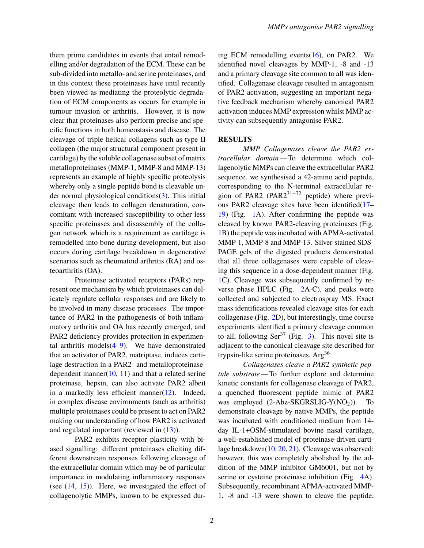them prime candidates in events that entail remodelling and/or degradation of the ECM. These can be sub-divided into metallo- and serine proteinases, and in this context these proteinases have until recently been viewed as mediating the proteolytic degradation of ECM components as occurs for example in tumour invasion or arthritis. However, it is now clear that proteinases also perform precise and specific functions in both homeostasis and disease. The cleavage of triple helical collagens such as type II collagen (the major structural component present in cartilage) by the soluble collagenase subset of matrix metalloproteinases (MMP-1, MMP-8 and MMP-13) represents an example of highly specific proteolysis whereby only a single peptide bond is cleavable under normal physiological conditions $(3)$ . This initial cleavage then leads to collagen denaturation, concomitant with increased susceptibility to other less specific proteinases and disassembly of the collagen network which is a requirement as cartilage is remodelled into bone during development, but also occurs during cartilage breakdown in degenerative scenarios such as rheumatoid arthritis (RA) and osteoarthritis (OA).

Proteinase activated receptors (PARs) represent one mechanism by which proteinases can delicately regulate cellular responses and are likely to be involved in many disease processes. The importance of PAR2 in the pathogenesis of both inflammatory arthritis and OA has recently emerged, and PAR2 deficiency provides protection in experimental arthritis models $(4-9)$  $(4-9)$ . We have demonstrated that an activator of PAR2, matriptase, induces cartilage destruction in a PAR2- and metalloproteinasedependent manner $(10, 11)$  $(10, 11)$  $(10, 11)$  and that a related serine proteinase, hepsin, can also activate PAR2 albeit in a markedly less efficient manner $(12)$ . Indeed, in complex disease environments (such as arthritis) multiple proteinases could be present to act on PAR2 making our understanding of how PAR2 is activated and regulated important (reviewed in [\(13\)](#page-7-8)).

PAR2 exhibits receptor plasticity with biased signalling: different proteinases eliciting different downstream responses following cleavage of the extracellular domain which may be of particular importance in modulating inflammatory responses (see  $(14, 15)$  $(14, 15)$  $(14, 15)$ ). Here, we investigated the effect of collagenolytic MMPs, known to be expressed during ECM remodelling events $(16)$ , on PAR2. We identified novel cleavages by MMP-1, -8 and -13 and a primary cleavage site common to all was identified. Collagenase cleavage resulted in antagonism of PAR2 activation, suggesting an important negative feedback mechanism whereby canonical PAR2 activation induces MMP expression whilst MMP activity can subsequently antagonise PAR2.

## **RESULTS**

*MMP Collagenases cleave the PAR2 extracellular domain —* To determine which collagenolytic MMPs can cleave the extracellular PAR2 sequence, we synthesised a 42-amino acid peptide, corresponding to the N-terminal extracellular region of PAR2 (PAR2 $31-72$  peptide) where previous PAR2 cleavage sites have been identified[\(17–](#page-8-2) [19\)](#page-8-3) (Fig. [1A](#page-12-0)). After confirming the peptide was cleaved by known PAR2-cleaving proteinases (Fig. [1B](#page-12-0)) the peptide was incubated with APMA-activated MMP-1, MMP-8 and MMP-13. Silver-stained SDS-PAGE gels of the digested products demonstrated that all three collagenases were capable of cleaving this sequence in a dose-dependent manner (Fig. [1C](#page-12-0)). Cleavage was subsequently confirmed by reverse phase HPLC (Fig. [2A](#page-13-0)-C), and peaks were collected and subjected to electrospray MS. Exact mass identifications revealed cleavage sites for each collagenase (Fig. [2D](#page-13-0)), but interestingly, time course experiments identified a primary cleavage common to all, following  $\text{Ser}^{37}$  (Fig. [3\)](#page-14-0). This novel site is adjacent to the canonical cleavage site described for trypsin-like serine proteinases, Arg<sup>36</sup>.

*Collagenases cleave a PAR2 synthetic peptide substrate —* To further explore and determine kinetic constants for collagenase cleavage of PAR2, a quenched fluorescent peptide mimic of PAR2 was employed  $(2-Abz-SKGRSLIG-Y(NO<sub>2</sub>))$ . To demonstrate cleavage by native MMPs, the peptide was incubated with conditioned medium from 14 day IL-1+OSM-stimulated bovine nasal cartilage, a well-established model of proteinase-driven cartilage breakdown[\(10,](#page-7-5) [20,](#page-8-4) [21\)](#page-8-5). Cleavage was observed; however, this was completely abolished by the addition of the MMP inhibitor GM6001, but not by serine or cysteine proteinase inhibition (Fig. [4A](#page-15-0)). Subsequently, recombinant APMA-activated MMP-1, -8 and -13 were shown to cleave the peptide,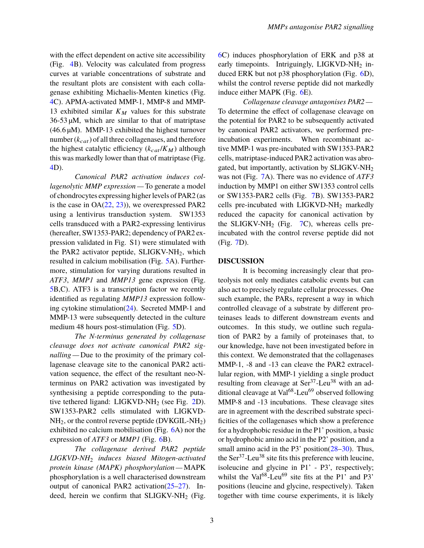with the effect dependent on active site accessibility (Fig. [4B](#page-15-0)). Velocity was calculated from progress curves at variable concentrations of substrate and the resultant plots are consistent with each collagenase exhibiting Michaelis-Menten kinetics (Fig. [4C](#page-15-0)). APMA-activated MMP-1, MMP-8 and MMP-13 exhibited similar  $K_M$  values for this substrate 36-53 µM, which are similar to that of matriptase  $(46.6 \,\mu\text{M})$ . MMP-13 exhibited the highest turnover number  $(k_{cat})$  of all three collagenases, and therefore the highest catalytic efficiency  $(k_{cat}/K_M)$  although this was markedly lower than that of matriptase (Fig. [4D](#page-15-0)).

*Canonical PAR2 activation induces collagenolytic MMP expression —* To generate a model of chondrocytes expressing higher levels of PAR2 (as is the case in  $OA(22, 23)$  $OA(22, 23)$  $OA(22, 23)$  $OA(22, 23)$ , we overexpressed PAR2 using a lentivirus transduction system. SW1353 cells transduced with a PAR2-expressing lentivirus (hereafter, SW1353-PAR2; dependency of PAR2 expression validated in Fig. S1) were stimulated with the PAR2 activator peptide,  $SLIGKV-NH<sub>2</sub>$ , which resulted in calcium mobilisation (Fig. [5A](#page-16-0)). Furthermore, stimulation for varying durations resulted in *ATF3*, *MMP1* and *MMP13* gene expression (Fig. [5B](#page-16-0),C). ATF3 is a transcription factor we recently identified as regulating *MMP13* expression following cytokine stimulation[\(24\)](#page-8-8). Secreted MMP-1 and MMP-13 were subsequently detected in the culture medium 48 hours post-stimulation (Fig. [5D](#page-16-0)).

*The N-terminus generated by collagenase cleavage does not activate canonical PAR2 signalling —* Due to the proximity of the primary collagenase cleavage site to the canonical PAR2 activation sequence, the effect of the resultant neo-Nterminus on PAR2 activation was investigated by synthesising a peptide corresponding to the putative tethered ligand:  $LIGKVD-NH<sub>2</sub>$  (see Fig. [2D](#page-13-0)). SW1353-PAR2 cells stimulated with LIGKVD- $NH<sub>2</sub>$ , or the control reverse peptide (DVKGIL-NH<sub>2</sub>) exhibited no calcium mobilisation (Fig. [6A](#page-17-0)) nor the expression of *ATF3* or *MMP1* (Fig. [6B](#page-17-0)).

*The collagenase derived PAR2 peptide LIGKVD-NH*<sup>2</sup> *induces biased Mitogen-activated protein kinase (MAPK) phosphorylation —* MAPK phosphorylation is a well characterised downstream output of canonical PAR2 activation[\(25–](#page-8-9)[27\)](#page-8-10). Indeed, herein we confirm that  $SLIGKV-NH<sub>2</sub>$  (Fig.

[6C](#page-17-0)) induces phosphorylation of ERK and p38 at early timepoints. Intriguingly, LIGKVD-NH<sub>2</sub> induced ERK but not p38 phosphorylation (Fig. [6D](#page-17-0)), whilst the control reverse peptide did not markedly induce either MAPK (Fig. [6E](#page-17-0)).

*Collagenase cleavage antagonises PAR2 —* To determine the effect of collagenase cleavage on the potential for PAR2 to be subsequently activated by canonical PAR2 activators, we performed preincubation experiments. When recombinant active MMP-1 was pre-incubated with SW1353-PAR2 cells, matriptase-induced PAR2 activation was abrogated, but importantly, activation by SLIGKV-NH<sup>2</sup> was not (Fig. [7A](#page-18-0)). There was no evidence of *ATF3* induction by MMP1 on either SW1353 control cells or SW1353-PAR2 cells (Fig. [7B](#page-18-0)). SW1353-PAR2 cells pre-incubated with LIGKVD-NH<sub>2</sub> markedly reduced the capacity for canonical activation by the SLIGKV-NH<sub>2</sub> (Fig.  $7C$ ), whereas cells preincubated with the control reverse peptide did not (Fig. [7D](#page-18-0)).

#### **DISCUSSION**

It is becoming increasingly clear that proteolysis not only mediates catabolic events but can also act to precisely regulate cellular processes. One such example, the PARs, represent a way in which controlled cleavage of a substrate by different proteinases leads to different downstream events and outcomes. In this study, we outline such regulation of PAR2 by a family of proteinases that, to our knowledge, have not been investigated before in this context. We demonstrated that the collagenases MMP-1, -8 and -13 can cleave the PAR2 extracellular region, with MMP-1 yielding a single product resulting from cleavage at Ser<sup>37</sup>-Leu<sup>38</sup> with an additional cleavage at Val $^{68}$ -Leu<sup>69</sup> observed following MMP-8 and -13 incubations. These cleavage sites are in agreement with the described substrate specificities of the collagenases which show a preference for a hydrophobic residue in the P1' position, a basic or hydrophobic amino acid in the P2' position, and a small amino acid in the P3' position[\(28–](#page-8-11)[30\)](#page-9-0). Thus, the  $\text{Ser}^{37}\text{-}$ Leu<sup>38</sup> site fits this preference with leucine, isoleucine and glycine in P1' - P3', respectively; whilst the Val $^{68}$ -Leu<sup>69</sup> site fits at the P1' and P3' positions (leucine and glycine, respectively). Taken together with time course experiments, it is likely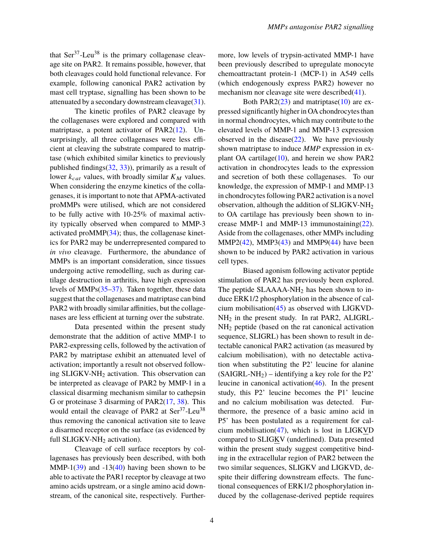that  $\text{Ser}^{37}\text{-}$ Leu<sup>38</sup> is the primary collagenase cleavage site on PAR2. It remains possible, however, that both cleavages could hold functional relevance. For example, following canonical PAR2 activation by mast cell tryptase, signalling has been shown to be attenuated by a secondary downstream cleavage  $(31)$ .

The kinetic profiles of PAR2 cleavage by the collagenases were explored and compared with matriptase, a potent activator of PAR2[\(12\)](#page-7-7). Unsurprisingly, all three collagenases were less efficient at cleaving the substrate compared to matriptase (which exhibited similar kinetics to previously published findings $(32, 33)$  $(32, 33)$  $(32, 33)$ , primarily as a result of lower  $k_{cat}$  values, with broadly similar  $K_M$  values. When considering the enzyme kinetics of the collagenases, it is important to note that APMA-activated proMMPs were utilised, which are not considered to be fully active with 10-25% of maximal activity typically observed when compared to MMP-3 activated pro $MMP(34)$  $MMP(34)$ ; thus, the collagenase kinetics for PAR2 may be underrepresented compared to *in vivo* cleavage. Furthermore, the abundance of MMPs is an important consideration, since tissues undergoing active remodelling, such as during cartilage destruction in arthritis, have high expression levels of MMPs[\(35–](#page-9-5)[37\)](#page-9-6). Taken together, these data suggest that the collagenases and matriptase can bind PAR2 with broadly similar affinities, but the collagenases are less efficient at turning over the substrate.

Data presented within the present study demonstrate that the addition of active MMP-1 to PAR2-expressing cells, followed by the activation of PAR2 by matriptase exhibit an attenuated level of activation; importantly a result not observed following SLIGKV-NH<sup>2</sup> activation. This observation can be interpreted as cleavage of PAR2 by MMP-1 in a classical disarming mechanism similar to cathepsin G or proteinase 3 disarming of PAR2[\(17,](#page-8-2) [38\)](#page-9-7). This would entail the cleavage of PAR2 at Ser<sup>37</sup>-Leu<sup>38</sup> thus removing the canonical activation site to leave a disarmed receptor on the surface (as evidenced by full SLIGKV-NH<sub>2</sub> activation).

Cleavage of cell surface receptors by collagenases has previously been described, with both MMP-1[\(39\)](#page-9-8) and  $-13(40)$  $-13(40)$  having been shown to be able to activate the PAR1 receptor by cleavage at two amino acids upstream, or a single amino acid downstream, of the canonical site, respectively. Furthermore, low levels of trypsin-activated MMP-1 have been previously described to upregulate monocyte chemoattractant protein-1 (MCP-1) in A549 cells (which endogenously express PAR2) however no mechanism nor cleavage site were described[\(41\)](#page-9-10).

Both PAR2 $(23)$  and matriptase $(10)$  are expressed significantly higher in OA chondrocytes than in normal chondrocytes, which may contribute to the elevated levels of MMP-1 and MMP-13 expression observed in the disease $(22)$ . We have previously shown matriptase to induce *MMP* expression in explant OA cartilage[\(10\)](#page-7-5), and herein we show PAR2 activation in chondrocytes leads to the expression and secretion of both these collagenases. To our knowledge, the expression of MMP-1 and MMP-13 in chondrocytes following PAR2 activation is a novel observation, although the addition of SLIGKV-NH<sup>2</sup> to OA cartilage has previously been shown to increase MMP-1 and MMP-13 immunostaining $(22)$ . Aside from the collagenases, other MMPs including  $MMP2(42)$  $MMP2(42)$ ,  $MMP3(43)$  $MMP3(43)$  and  $MMP9(44)$  $MMP9(44)$  have been shown to be induced by PAR2 activation in various cell types.

Biased agonism following activator peptide stimulation of PAR2 has previously been explored. The peptide SLAAAA-NH<sub>2</sub> has been shown to induce ERK1/2 phosphorylation in the absence of calcium mobilisation $(45)$  as observed with LIGKVD-NH<sup>2</sup> in the present study. In rat PAR2, ALIGRL-NH<sup>2</sup> peptide (based on the rat canonical activation sequence, SLIGRL) has been shown to result in detectable canonical PAR2 activation (as measured by calcium mobilisation), with no detectable activation when substituting the P2' leucine for alanine  $(SAIGRL-NH<sub>2</sub>)$  – identifying a key role for the P2' leucine in canonical activation[\(46\)](#page-10-1). In the present study, this P2' leucine becomes the P1' leucine and no calcium mobilisation was detected. Furthermore, the presence of a basic amino acid in P5' has been postulated as a requirement for calcium mobilisation[\(47\)](#page-10-2), which is lost in LIGKVD compared to SLIGKV (underlined). Data presented within the present study suggest competitive binding in the extracellular region of PAR2 between the two similar sequences, SLIGKV and LIGKVD, despite their differing downstream effects. The functional consequences of ERK1/2 phosphorylation induced by the collagenase-derived peptide requires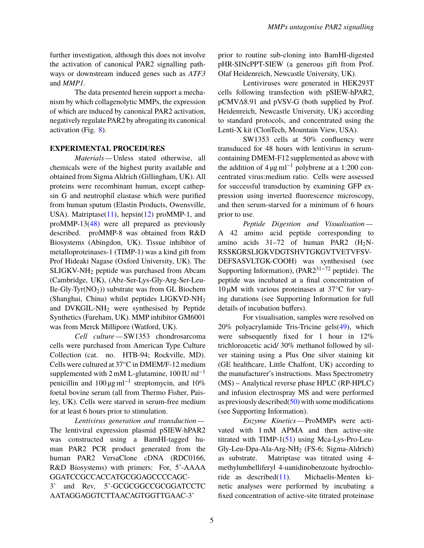further investigation, although this does not involve the activation of canonical PAR2 signalling pathways or downstream induced genes such as *ATF3* and *MMP1*.

The data presented herein support a mechanism by which collagenolytic MMPs, the expression of which are induced by canonical PAR2 activation, negatively regulate PAR2 by abrogating its canonical activation (Fig. [8\)](#page-19-0).

## **EXPERIMENTAL PROCEDURES**

*Materials —* Unless stated otherwise, all chemicals were of the highest purity available and obtained from Sigma Aldrich (Gillingham, UK). All proteins were recombinant human, except cathepsin G and neutrophil elastase which were purified from human sputum (Elastin Products, Owensville, USA). Matriptase[\(11\)](#page-7-6), hepsin[\(12\)](#page-7-7) proMMP-1, and proMMP-13[\(48\)](#page-10-3) were all prepared as previously described. proMMP-8 was obtained from R&D Biosystems (Abingdon, UK). Tissue inhibitor of metalloproteinases-1 (TIMP-1) was a kind gift from Prof Hideaki Nagase (Oxford University, UK). The SLIGKV-NH<sup>2</sup> peptide was purchased from Abcam (Cambridge, UK), (Abz-Ser-Lys-Gly-Arg-Ser-Leu-Ile-Gly-Tyr $(NO<sub>2</sub>)$ ) substrate was from GL Biochem (Shanghai, China) whilst peptides LIGKVD-NH<sup>2</sup> and DVKGIL-NH<sup>2</sup> were synthesised by Peptide Synthetics (Fareham, UK). MMP inhibitor GM6001 was from Merck Millipore (Watford, UK).

*Cell culture —* SW1353 chondrosarcoma cells were purchased from American Type Culture Collection (cat. no. HTB-94; Rockville, MD). Cells were cultured at 37°C in DMEM/F-12 medium supplemented with 2 mM L-glutamine,  $100$  IU ml<sup>-1</sup> penicillin and  $100 \,\text{\mu g\,ml}^{-1}$  streptomycin, and  $10\%$ foetal bovine serum (all from Thermo Fisher, Paisley, UK). Cells were starved in serum-free medium for at least 6 hours prior to stimulation.

*Lentivirus generation and transduction —* The lentiviral expression plasmid pSIEW-hPAR2 was constructed using a BamHI-tagged human PAR2 PCR product generated from the human PAR2 VersaClone cDNA (RDC0166, R&D Biosystems) with primers: For, 5'-AAAA GGATCCGCCACCATGCGGAGCCCCAGC-3' and Rev, 5'-GCGCGGCCGCGGATCCTC AATAGGAGGTCTTAACAGTGGTTGAAC-3'

prior to routine sub-cloning into BamHI-digested pHR-SINcPPT-SIEW (a generous gift from Prof. Olaf Heidenreich, Newcastle University, UK).

Lentiviruses were generated in HEK293T cells following transfection with pSIEW-hPAR2, pCMV∆8.91 and pVSV-G (both supplied by Prof. Heidenreich, Newcastle University, UK) according to standard protocols, and concentrated using the Lenti-X kit (ClonTech, Mountain View, USA).

SW1353 cells at 50% confluency were transduced for 48 hours with lentivirus in serumcontaining DMEM-F12 supplemented as above with the addition of  $4 \mu g$  ml<sup>-1</sup> polybrene at a 1:200 concentrated virus:medium ratio. Cells were assessed for successful transduction by examining GFP expression using inverted fluorescence microscopy, and then serum-starved for a minimum of 6 hours prior to use.

*Peptide Digestion and Visualisation —* A 42 amino acid peptide corresponding to amino acids  $31-72$  of human PAR2  $(H_2N-$ RSSKGRSLIGKVDGTSHVTGKGVTVETVFSV-DEFSASVLTGK-COOH) was synthesised (see Supporting Information),  $(PAR2^{31-72})$  peptide). The peptide was incubated at a final concentration of  $10 \mu M$  with various proteinases at 37 $\degree$ C for varying durations (see Supporting Information for full details of incubation buffers).

For visualisation, samples were resolved on 20% polyacrylamide Tris-Tricine gels[\(49\)](#page-10-4), which were subsequently fixed for 1 hour in 12% trichloroacetic acid/ 30% methanol followed by silver staining using a Plus One silver staining kit (GE healthcare, Little Chalfont, UK) according to the manufacturer's instructions. Mass Spectrometry (MS) – Analytical reverse phase HPLC (RP-HPLC) and infusion electrospray MS and were performed as previously described $(50)$  with some modifications (see Supporting Information).

*Enzyme Kinetics —* ProMMPs were activated with 1 mM APMA and then active-site titrated with TIMP-1[\(51\)](#page-10-6) using Mca-Lys-Pro-Leu-Gly-Leu-Dpa-Ala-Arg-NH<sup>2</sup> (FS-6; Sigma-Aldrich) as substrate. Matriptase was titrated using 4 methylumbelliferyl 4-uanidinobenzoate hydrochloride as described[\(11\)](#page-7-6). Michaelis-Menten kinetic analyses were performed by incubating a fixed concentration of active-site titrated proteinase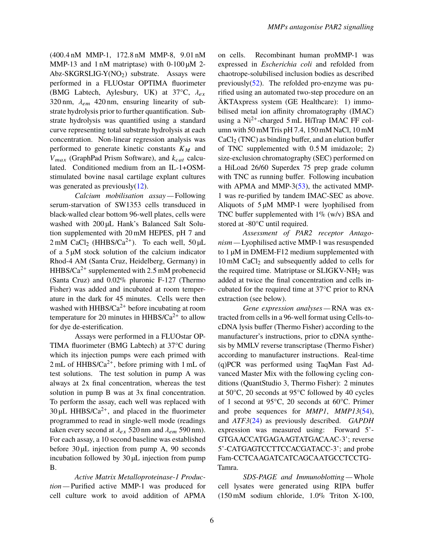(400.4 nM MMP-1, <sup>172</sup>.8 nM MMP-8, <sup>9</sup>.01 nM MMP-13 and 1 nM matriptase) with  $0-100 \mu M$  2-Abz-SKGRSLIG-Y( $NO<sub>2</sub>$ ) substrate. Assays were performed in a FLUOstar OPTIMA fluorimeter (BMG Labtech, Aylesbury, UK) at  $37^{\circ}$ C,  $\lambda_{ex}$ 320 nm,  $\lambda_{em}$  420 nm, ensuring linearity of substrate hydrolysis prior to further quantification. Substrate hydrolysis was quantified using a standard curve representing total substrate hydrolysis at each concentration. Non-linear regression analysis was performed to generate kinetic constants  $K_M$  and  $V_{max}$  (GraphPad Prism Software), and  $k_{cat}$  calculated. Conditioned medium from an IL-1+OSMstimulated bovine nasal cartilage explant cultures was generated as previously[\(12\)](#page-7-7).

*Calcium mobilisation assay —* Following serum-starvation of SW1353 cells transduced in black-walled clear bottom 96-well plates, cells were washed with 200 µL Hank's Balanced Salt Solution supplemented with 20 mM HEPES, pH 7 and  $2 \text{ mM } \text{CaCl}_2$  (HHBS/Ca<sup>2+</sup>). To each well,  $50 \mu L$ of a 5 µM stock solution of the calcium indicator Rhod-4 AM (Santa Cruz, Heidelberg, Germany) in  $HHBS/Ca^{2+}$  supplemented with 2.5 mM probenecid<br>(Santa Cruz), and 0.02% pluronic E 127 (Thermo (Santa Cruz) and 0.02% pluronic F-127 (Thermo Fisher) was added and incubated at room temperature in the dark for 45 minutes. Cells were then washed with  $HHBS/Ca^{2+}$  before incubating at room temperature for 20 minutes in  $HHBS/Ca^{2+}$  to allow for dye de-esterification.

Assays were performed in a FLUOstar OP-TIMA fluorimeter (BMG Labtech) at 37°C during which its injection pumps were each primed with  $2 \text{ mL of HHBS/Ca}^{2+}$ , before priming with 1 mL of test solutions. The test solution in pump A was always at 2x final concentration, whereas the test solution in pump B was at 3x final concentration. To perform the assay, each well was replaced with  $30 \mu L$  HHBS/Ca<sup>2+</sup>, and placed in the fluorimeter programmed to read in single-well mode (readings taken every second at  $\lambda_{ex}$  520 nm and  $\lambda_{em}$  590 nm). For each assay, a 10 second baseline was established before 30 µL injection from pump A, 90 seconds incubation followed by 30 µL injection from pump B.

*Active Matrix Metalloproteinase-1 Production —* Purified active MMP-1 was produced for cell culture work to avoid addition of APMA on cells. Recombinant human proMMP-1 was expressed in *Escherichia coli* and refolded from chaotrope-solubilised inclusion bodies as described previously[\(52\)](#page-10-7). The refolded pro-enzyme was purified using an automated two-step procedure on an ÄKTAxpress system (GE Healthcare): 1) immobilised metal ion affinity chromatography (IMAC) using a Ni<sup>2+</sup>-charged 5 mL HiTrap IMAC FF column with 50 mM Tris pH 7.4, 150 mM NaCl, 10 mM  $CaCl<sub>2</sub>$  (TNC) as binding buffer, and an elution buffer of TNC supplemented with <sup>0</sup>.5 M imidazole; 2) size-exclusion chromatography (SEC) performed on a HiLoad 26/60 Superdex 75 prep grade column with TNC as running buffer. Following incubation with APMA and MMP-3[\(53\)](#page-10-8), the activated MMP-1 was re-purified by tandem IMAC-SEC as above. Aliquots of  $5 \mu M$  MMP-1 were lyophilised from TNC buffer supplemented with  $1\%$  (w/v) BSA and stored at -80°C until required.

*Assessment of PAR2 receptor Antagonism —* Lyophilised active MMP-1 was resuspended to 1 µM in DMEM-F12 medium supplemented with  $10 \text{ mM }$  CaCl<sub>2</sub> and subsequently added to cells for the required time. Matriptase or  $SLIGKV-NH<sub>2</sub>$  was added at twice the final concentration and cells incubated for the required time at 37°C prior to RNA extraction (see below).

*Gene expression analyses —* RNA was extracted from cells in a 96-well format using Cells-tocDNA lysis buffer (Thermo Fisher) according to the manufacturer's instructions, prior to cDNA synthesis by MMLV reverse transcriptase (Thermo Fisher) according to manufacturer instructions. Real-time (q)PCR was performed using TaqMan Fast Advanced Master Mix with the following cycling conditions (QuantStudio 3, Thermo Fisher): 2 minutes at 50°C, 20 seconds at 95°C followed by 40 cycles of 1 second at 95°C, 20 seconds at 60°C. Primer and probe sequences for *MMP1*, *MMP13*[\(54\)](#page-10-9), and *ATF3*[\(24\)](#page-8-8) as previously described. *GAPDH* expression was measured using: Forward 5'- GTGAACCATGAGAAGTATGACAAC-3'; reverse 5'-CATGAGTCCTTCCACGATACC-3'; and probe Fam-CCTCAAGATCATCAGCAATGCCTCCTG-Tamra.

*SDS-PAGE and Immunoblotting —* Whole cell lysates were generated using RIPA buffer (150 mM sodium chloride, 1.0% Triton X-100,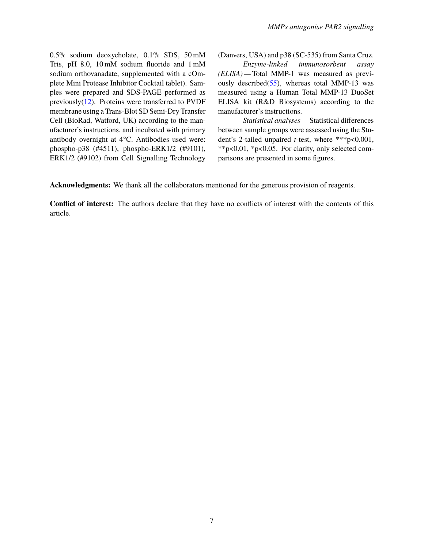0.5% sodium deoxycholate, 0.1% SDS, 50 mM Tris, pH 8.0, 10 mM sodium fluoride and 1 mM sodium orthovanadate, supplemented with a cOmplete Mini Protease Inhibitor Cocktail tablet). Samples were prepared and SDS-PAGE performed as previously[\(12\)](#page-7-7). Proteins were transferred to PVDF membrane using a Trans-Blot SD Semi-Dry Transfer Cell (BioRad, Watford, UK) according to the manufacturer's instructions, and incubated with primary antibody overnight at 4°C. Antibodies used were: phospho-p38 (#4511), phospho-ERK1/2 (#9101), ERK1/2 (#9102) from Cell Signalling Technology

(Danvers, USA) and p38 (SC-535) from Santa Cruz.

*Enzyme-linked immunosorbent assay (ELISA) —* Total MMP-1 was measured as previously described $(55)$ , whereas total MMP-13 was measured using a Human Total MMP-13 DuoSet ELISA kit (R&D Biosystems) according to the manufacturer's instructions.

*Statistical analyses —* Statistical differences between sample groups were assessed using the Student's 2-tailed unpaired *t*-test, where \*\*\*p<0.001, \*\*p<0.01, \*p<0.05. For clarity, only selected comparisons are presented in some figures.

**Acknowledgments:** We thank all the collaborators mentioned for the generous provision of reagents.

**Conflict of interest:** The authors declare that they have no conflicts of interest with the contents of this article.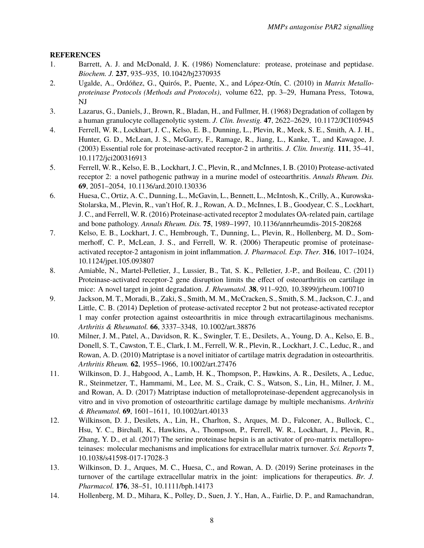# **REFERENCES**

- <span id="page-7-0"></span>1. Barrett, A. J. and McDonald, J. K. (1986) Nomenclature: protease, proteinase and peptidase. *Biochem. J.* **237**, 935–935, 10.1042/bj2370935
- <span id="page-7-1"></span>2. Ugalde, A., Ordóñez, G., Quirós, P., Puente, X., and López-Otín, C. (2010) in *Matrix Metalloproteinase Protocols (Methods and Protocols)*, volume 622, pp. 3–29, Humana Press, Totowa, NJ
- <span id="page-7-2"></span>3. Lazarus, G., Daniels, J., Brown, R., Bladan, H., and Fullmer, H. (1968) Degradation of collagen by a human granulocyte collagenolytic system. *J. Clin. Investig.* **47**, 2622–2629, 10.1172/JCI105945
- <span id="page-7-3"></span>4. Ferrell, W. R., Lockhart, J. C., Kelso, E. B., Dunning, L., Plevin, R., Meek, S. E., Smith, A. J. H., Hunter, G. D., McLean, J. S., McGarry, F., Ramage, R., Jiang, L., Kanke, T., and Kawagoe, J. (2003) Essential role for proteinase-activated receptor-2 in arthritis. *J. Clin. Investig.* **111**, 35–41, 10.1172/jci200316913
- 5. Ferrell, W. R., Kelso, E. B., Lockhart, J. C., Plevin, R., and McInnes, I. B. (2010) Protease-activated receptor 2: a novel pathogenic pathway in a murine model of osteoarthritis. *Annals Rheum. Dis.* **69**, 2051–2054, 10.1136/ard.2010.130336
- 6. Huesa, C., Ortiz, A. C., Dunning, L., McGavin, L., Bennett, L., McIntosh, K., Crilly, A., Kurowska-Stolarska, M., Plevin, R., van't Hof, R. J., Rowan, A. D., McInnes, I. B., Goodyear, C. S., Lockhart, J. C., and Ferrell, W. R. (2016) Proteinase-activated receptor 2 modulates OA-related pain, cartilage and bone pathology. *Annals Rheum. Dis.* **75**, 1989–1997, 10.1136/annrheumdis-2015-208268
- 7. Kelso, E. B., Lockhart, J. C., Hembrough, T., Dunning, L., Plevin, R., Hollenberg, M. D., Sommerhoff, C. P., McLean, J. S., and Ferrell, W. R. (2006) Therapeutic promise of proteinaseactivated receptor-2 antagonism in joint inflammation. *J. Pharmacol. Exp. Ther.* **316**, 1017–1024, 10.1124/jpet.105.093807
- 8. Amiable, N., Martel-Pelletier, J., Lussier, B., Tat, S. K., Pelletier, J.-P., and Boileau, C. (2011) Proteinase-activated receptor-2 gene disruption limits the effect of osteoarthritis on cartilage in mice: A novel target in joint degradation. *J. Rheumatol.* **38**, 911–920, 10.3899/jrheum.100710
- <span id="page-7-4"></span>9. Jackson, M. T., Moradi, B., Zaki, S., Smith, M. M., McCracken, S., Smith, S. M., Jackson, C. J., and Little, C. B. (2014) Depletion of protease-activated receptor 2 but not protease-activated receptor 1 may confer protection against osteoarthritis in mice through extracartilaginous mechanisms. *Arthritis & Rheumatol.* **66**, 3337–3348, 10.1002/art.38876
- <span id="page-7-5"></span>10. Milner, J. M., Patel, A., Davidson, R. K., Swingler, T. E., Desilets, A., Young, D. A., Kelso, E. B., Donell, S. T., Cawston, T. E., Clark, I. M., Ferrell, W. R., Plevin, R., Lockhart, J. C., Leduc, R., and Rowan, A. D. (2010) Matriptase is a novel initiator of cartilage matrix degradation in osteoarthritis. *Arthritis Rheum.* **62**, 1955–1966, 10.1002/art.27476
- <span id="page-7-6"></span>11. Wilkinson, D. J., Habgood, A., Lamb, H. K., Thompson, P., Hawkins, A. R., Desilets, A., Leduc, R., Steinmetzer, T., Hammami, M., Lee, M. S., Craik, C. S., Watson, S., Lin, H., Milner, J. M., and Rowan, A. D. (2017) Matriptase induction of metalloproteinase-dependent aggrecanolysis in vitro and in vivo promotion of osteoarthritic cartilage damage by multiple mechanisms. *Arthritis & Rheumatol.* **69**, 1601–1611, 10.1002/art.40133
- <span id="page-7-7"></span>12. Wilkinson, D. J., Desilets, A., Lin, H., Charlton, S., Arques, M. D., Falconer, A., Bullock, C., Hsu, Y. C., Birchall, K., Hawkins, A., Thompson, P., Ferrell, W. R., Lockhart, J., Plevin, R., Zhang, Y. D., et al. (2017) The serine proteinase hepsin is an activator of pro-matrix metalloproteinases: molecular mechanisms and implications for extracellular matrix turnover. *Sci. Reports* **7**, 10.1038/s41598-017-17028-3
- <span id="page-7-8"></span>13. Wilkinson, D. J., Arques, M. C., Huesa, C., and Rowan, A. D. (2019) Serine proteinases in the turnover of the cartilage extracellular matrix in the joint: implications for therapeutics. *Br. J. Pharmacol.* **176**, 38–51, 10.1111/bph.14173
- <span id="page-7-9"></span>14. Hollenberg, M. D., Mihara, K., Polley, D., Suen, J. Y., Han, A., Fairlie, D. P., and Ramachandran,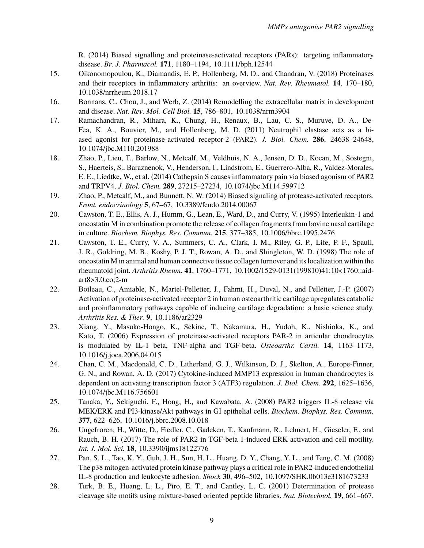R. (2014) Biased signalling and proteinase-activated receptors (PARs): targeting inflammatory disease. *Br. J. Pharmacol.* **171**, 1180–1194, 10.1111/bph.12544

- <span id="page-8-0"></span>15. Oikonomopoulou, K., Diamandis, E. P., Hollenberg, M. D., and Chandran, V. (2018) Proteinases and their receptors in inflammatory arthritis: an overview. *Nat. Rev. Rheumatol.* **14**, 170–180, 10.1038/nrrheum.2018.17
- <span id="page-8-1"></span>16. Bonnans, C., Chou, J., and Werb, Z. (2014) Remodelling the extracellular matrix in development and disease. *Nat. Rev. Mol. Cell Biol.* **15**, 786–801, 10.1038/nrm3904
- <span id="page-8-2"></span>17. Ramachandran, R., Mihara, K., Chung, H., Renaux, B., Lau, C. S., Muruve, D. A., De-Fea, K. A., Bouvier, M., and Hollenberg, M. D. (2011) Neutrophil elastase acts as a biased agonist for proteinase-activated receptor-2 (PAR2). *J. Biol. Chem.* **286**, 24638–24648, 10.1074/jbc.M110.201988
- 18. Zhao, P., Lieu, T., Barlow, N., Metcalf, M., Veldhuis, N. A., Jensen, D. D., Kocan, M., Sostegni, S., Haerteis, S., Baraznenok, V., Henderson, I., Lindstrom, E., Guerrero-Alba, R., Valdez-Morales, E. E., Liedtke, W., et al. (2014) Cathepsin S causes inflammatory pain via biased agonism of PAR2 and TRPV4. *J. Biol. Chem.* **289**, 27215–27234, 10.1074/jbc.M114.599712
- <span id="page-8-3"></span>19. Zhao, P., Metcalf, M., and Bunnett, N. W. (2014) Biased signaling of protease-activated receptors. *Front. endocrinology* **5**, 67–67, 10.3389/fendo.2014.00067
- <span id="page-8-4"></span>20. Cawston, T. E., Ellis, A. J., Humm, G., Lean, E., Ward, D., and Curry, V. (1995) Interleukin-1 and oncostatin M in combination promote the release of collagen fragments from bovine nasal cartilage in culture. *Biochem. Biophys. Res. Commun.* **215**, 377–385, 10.1006/bbrc.1995.2476
- <span id="page-8-5"></span>21. Cawston, T. E., Curry, V. A., Summers, C. A., Clark, I. M., Riley, G. P., Life, P. F., Spaull, J. R., Goldring, M. B., Koshy, P. J. T., Rowan, A. D., and Shingleton, W. D. (1998) The role of oncostatin M in animal and human connective tissue collagen turnover and its localization within the rheumatoid joint. *Arthritis Rheum.* **41**, 1760–1771, 10.1002/1529-0131(199810)41:10<1760::aidart8>3.0.co;2-m
- <span id="page-8-6"></span>22. Boileau, C., Amiable, N., Martel-Pelletier, J., Fahmi, H., Duval, N., and Pelletier, J.-P. (2007) Activation of proteinase-activated receptor 2 in human osteoarthritic cartilage upregulates catabolic and proinflammatory pathways capable of inducing cartilage degradation: a basic science study. *Arthritis Res. & Ther.* **9**, 10.1186/ar2329
- <span id="page-8-7"></span>23. Xiang, Y., Masuko-Hongo, K., Sekine, T., Nakamura, H., Yudoh, K., Nishioka, K., and Kato, T. (2006) Expression of proteinase-activated receptors PAR-2 in articular chondrocytes is modulated by IL-1 beta, TNF-alpha and TGF-beta. *Osteoarthr. Cartil.* **14**, 1163–1173, 10.1016/j.joca.2006.04.015
- <span id="page-8-8"></span>24. Chan, C. M., Macdonald, C. D., Litherland, G. J., Wilkinson, D. J., Skelton, A., Europe-Finner, G. N., and Rowan, A. D. (2017) Cytokine-induced MMP13 expression in human chondrocytes is dependent on activating transcription factor 3 (ATF3) regulation. *J. Biol. Chem.* **292**, 1625–1636, 10.1074/jbc.M116.756601
- <span id="page-8-9"></span>25. Tanaka, Y., Sekiguchi, F., Hong, H., and Kawabata, A. (2008) PAR2 triggers IL-8 release via MEK/ERK and PI3-kinase/Akt pathways in GI epithelial cells. *Biochem. Biophys. Res. Commun.* **377**, 622–626, 10.1016/j.bbrc.2008.10.018
- 26. Ungefroren, H., Witte, D., Fiedler, C., Gadeken, T., Kaufmann, R., Lehnert, H., Gieseler, F., and Rauch, B. H. (2017) The role of PAR2 in TGF-beta 1-induced ERK activation and cell motility. *Int. J. Mol. Sci.* **18**, 10.3390/ijms18122776
- <span id="page-8-10"></span>27. Pan, S. L., Tao, K. Y., Guh, J. H., Sun, H. L., Huang, D. Y., Chang, Y. L., and Teng, C. M. (2008) The p38 mitogen-activated protein kinase pathway plays a critical role in PAR2-induced endothelial IL-8 production and leukocyte adhesion. *Shock* **30**, 496–502, 10.1097/SHK.0b013e3181673233
- <span id="page-8-11"></span>28. Turk, B. E., Huang, L. L., Piro, E. T., and Cantley, L. C. (2001) Determination of protease cleavage site motifs using mixture-based oriented peptide libraries. *Nat. Biotechnol.* **19**, 661–667,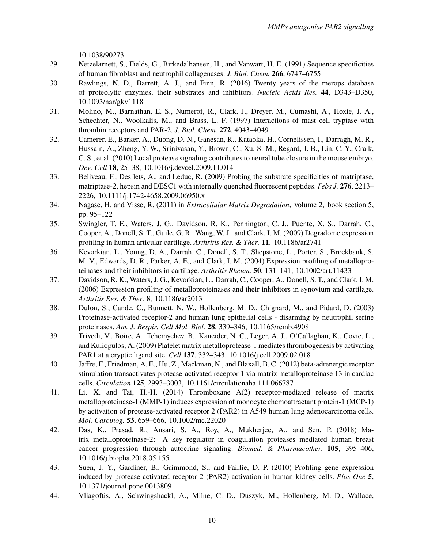10.1038/90273

- 29. Netzelarnett, S., Fields, G., Birkedalhansen, H., and Vanwart, H. E. (1991) Sequence specificities of human fibroblast and neutrophil collagenases. *J. Biol. Chem.* **266**, 6747–6755
- <span id="page-9-0"></span>30. Rawlings, N. D., Barrett, A. J., and Finn, R. (2016) Twenty years of the merops database of proteolytic enzymes, their substrates and inhibitors. *Nucleic Acids Res.* **44**, D343–D350, 10.1093/nar/gkv1118
- <span id="page-9-1"></span>31. Molino, M., Barnathan, E. S., Numerof, R., Clark, J., Dreyer, M., Cumashi, A., Hoxie, J. A., Schechter, N., Woolkalis, M., and Brass, L. F. (1997) Interactions of mast cell tryptase with thrombin receptors and PAR-2. *J. Biol. Chem.* **272**, 4043–4049
- <span id="page-9-2"></span>32. Camerer, E., Barker, A., Duong, D. N., Ganesan, R., Kataoka, H., Cornelissen, I., Darragh, M. R., Hussain, A., Zheng, Y.-W., Srinivasan, Y., Brown, C., Xu, S.-M., Regard, J. B., Lin, C.-Y., Craik, C. S., et al. (2010) Local protease signaling contributes to neural tube closure in the mouse embryo. *Dev. Cell* **18**, 25–38, 10.1016/j.devcel.2009.11.014
- <span id="page-9-3"></span>33. Beliveau, F., Desilets, A., and Leduc, R. (2009) Probing the substrate specificities of matriptase, matriptase-2, hepsin and DESC1 with internally quenched fluorescent peptides. *Febs J.* **276**, 2213– 2226, 10.1111/j.1742-4658.2009.06950.x
- <span id="page-9-4"></span>34. Nagase, H. and Visse, R. (2011) in *Extracellular Matrix Degradation*, volume 2, book section 5, pp. 95–122
- <span id="page-9-5"></span>35. Swingler, T. E., Waters, J. G., Davidson, R. K., Pennington, C. J., Puente, X. S., Darrah, C., Cooper, A., Donell, S. T., Guile, G. R., Wang, W. J., and Clark, I. M. (2009) Degradome expression profiling in human articular cartilage. *Arthritis Res. & Ther.* **11**, 10.1186/ar2741
- 36. Kevorkian, L., Young, D. A., Darrah, C., Donell, S. T., Shepstone, L., Porter, S., Brockbank, S. M. V., Edwards, D. R., Parker, A. E., and Clark, I. M. (2004) Expression profiling of metalloproteinases and their inhibitors in cartilage. *Arthritis Rheum.* **50**, 131–141, 10.1002/art.11433
- <span id="page-9-6"></span>37. Davidson, R. K., Waters, J. G., Kevorkian, L., Darrah, C., Cooper, A., Donell, S. T., and Clark, I. M. (2006) Expression profiling of metalloproteinases and their inhibitors in synovium and cartilage. *Arthritis Res. & Ther.* **8**, 10.1186/ar2013
- <span id="page-9-7"></span>38. Dulon, S., Cande, C., Bunnett, N. W., Hollenberg, M. D., Chignard, M., and Pidard, D. (2003) Proteinase-activated receptor-2 and human lung epithelial cells - disarming by neutrophil serine proteinases. *Am. J. Respir. Cell Mol. Biol.* **28**, 339–346, 10.1165/rcmb.4908
- <span id="page-9-8"></span>39. Trivedi, V., Boire, A., Tchemychev, B., Kaneider, N. C., Leger, A. J., O'Callaghan, K., Covic, L., and Kuliopulos, A. (2009) Platelet matrix metalloprotease-1 mediates thrombogenesis by activating PAR1 at a cryptic ligand site. *Cell* **137**, 332–343, 10.1016/j.cell.2009.02.018
- <span id="page-9-9"></span>40. Jaffre, F., Friedman, A. E., Hu, Z., Mackman, N., and Blaxall, B. C. (2012) beta-adrenergic receptor stimulation transactivates protease-activated receptor 1 via matrix metalloproteinase 13 in cardiac cells. *Circulation* **125**, 2993–3003, 10.1161/circulationaha.111.066787
- <span id="page-9-10"></span>41. Li, X. and Tai, H.-H. (2014) Thromboxane A(2) receptor-mediated release of matrix metalloproteinase-1 (MMP-1) induces expression of monocyte chemoattractant protein-1 (MCP-1) by activation of protease-activated receptor 2 (PAR2) in A549 human lung adenocarcinoma cells. *Mol. Carcinog.* **53**, 659–666, 10.1002/mc.22020
- <span id="page-9-11"></span>42. Das, K., Prasad, R., Ansari, S. A., Roy, A., Mukherjee, A., and Sen, P. (2018) Matrix metalloproteinase-2: A key regulator in coagulation proteases mediated human breast cancer progression through autocrine signaling. *Biomed. & Pharmacother.* **105**, 395–406, 10.1016/j.biopha.2018.05.155
- <span id="page-9-12"></span>43. Suen, J. Y., Gardiner, B., Grimmond, S., and Fairlie, D. P. (2010) Profiling gene expression induced by protease-activated receptor 2 (PAR2) activation in human kidney cells. *Plos One* **5**, 10.1371/journal.pone.0013809
- <span id="page-9-13"></span>44. Vliagoftis, A., Schwingshackl, A., Milne, C. D., Duszyk, M., Hollenberg, M. D., Wallace,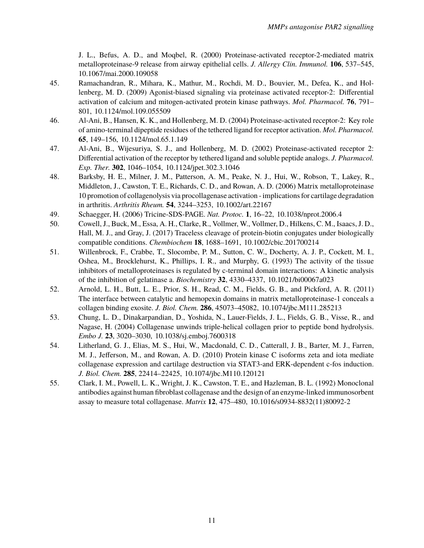J. L., Befus, A. D., and Moqbel, R. (2000) Proteinase-activated receptor-2-mediated matrix metalloproteinase-9 release from airway epithelial cells. *J. Allergy Clin. Immunol.* **106**, 537–545, 10.1067/mai.2000.109058

- <span id="page-10-0"></span>45. Ramachandran, R., Mihara, K., Mathur, M., Rochdi, M. D., Bouvier, M., Defea, K., and Hollenberg, M. D. (2009) Agonist-biased signaling via proteinase activated receptor-2: Differential activation of calcium and mitogen-activated protein kinase pathways. *Mol. Pharmacol.* **76**, 791– 801, 10.1124/mol.109.055509
- <span id="page-10-1"></span>46. Al-Ani, B., Hansen, K. K., and Hollenberg, M. D. (2004) Proteinase-activated receptor-2: Key role of amino-terminal dipeptide residues of the tethered ligand for receptor activation. *Mol. Pharmacol.* **65**, 149–156, 10.1124/mol.65.1.149
- <span id="page-10-2"></span>47. Al-Ani, B., Wijesuriya, S. J., and Hollenberg, M. D. (2002) Proteinase-activated receptor 2: Differential activation of the receptor by tethered ligand and soluble peptide analogs. *J. Pharmacol. Exp. Ther.* **302**, 1046–1054, 10.1124/jpet.302.3.1046
- <span id="page-10-3"></span>48. Barksby, H. E., Milner, J. M., Patterson, A. M., Peake, N. J., Hui, W., Robson, T., Lakey, R., Middleton, J., Cawston, T. E., Richards, C. D., and Rowan, A. D. (2006) Matrix metalloproteinase 10 promotion of collagenolysis via procollagenase activation - implications for cartilage degradation in arthritis. *Arthritis Rheum.* **54**, 3244–3253, 10.1002/art.22167
- <span id="page-10-4"></span>49. Schaegger, H. (2006) Tricine-SDS-PAGE. *Nat. Protoc.* **1**, 16–22, 10.1038/nprot.2006.4
- <span id="page-10-5"></span>50. Cowell, J., Buck, M., Essa, A. H., Clarke, R., Vollmer, W., Vollmer, D., Hilkens, C. M., Isaacs, J. D., Hall, M. J., and Gray, J. (2017) Traceless cleavage of protein-biotin conjugates under biologically compatible conditions. *Chembiochem* **18**, 1688–1691, 10.1002/cbic.201700214
- <span id="page-10-6"></span>51. Willenbrock, F., Crabbe, T., Slocombe, P. M., Sutton, C. W., Docherty, A. J. P., Cockett, M. I., Oshea, M., Brocklehurst, K., Phillips, I. R., and Murphy, G. (1993) The activity of the tissue inhibitors of metalloproteinases is regulated by c-terminal domain interactions: A kinetic analysis of the inhibition of gelatinase a. *Biochemistry* **32**, 4330–4337, 10.1021/bi00067a023
- <span id="page-10-7"></span>52. Arnold, L. H., Butt, L. E., Prior, S. H., Read, C. M., Fields, G. B., and Pickford, A. R. (2011) The interface between catalytic and hemopexin domains in matrix metalloproteinase-1 conceals a collagen binding exosite. *J. Biol. Chem.* **286**, 45073–45082, 10.1074/jbc.M111.285213
- <span id="page-10-8"></span>53. Chung, L. D., Dinakarpandian, D., Yoshida, N., Lauer-Fields, J. L., Fields, G. B., Visse, R., and Nagase, H. (2004) Collagenase unwinds triple-helical collagen prior to peptide bond hydrolysis. *Embo J.* **23**, 3020–3030, 10.1038/sj.emboj.7600318
- <span id="page-10-9"></span>54. Litherland, G. J., Elias, M. S., Hui, W., Macdonald, C. D., Catterall, J. B., Barter, M. J., Farren, M. J., Jefferson, M., and Rowan, A. D. (2010) Protein kinase C isoforms zeta and iota mediate collagenase expression and cartilage destruction via STAT3-and ERK-dependent c-fos induction. *J. Biol. Chem.* **285**, 22414–22425, 10.1074/jbc.M110.120121
- <span id="page-10-10"></span>55. Clark, I. M., Powell, L. K., Wright, J. K., Cawston, T. E., and Hazleman, B. L. (1992) Monoclonal antibodies against human fibroblast collagenase and the design of an enzyme-linked immunosorbent assay to measure total collagenase. *Matrix* **12**, 475–480, 10.1016/s0934-8832(11)80092-2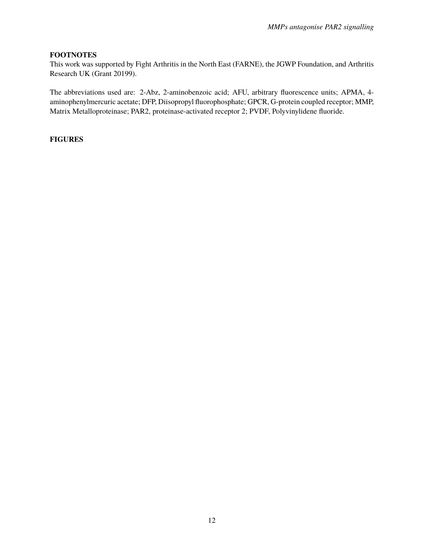# **FOOTNOTES**

This work was supported by Fight Arthritis in the North East (FARNE), the JGWP Foundation, and Arthritis Research UK (Grant 20199).

The abbreviations used are: 2-Abz, 2-aminobenzoic acid; AFU, arbitrary fluorescence units; APMA, 4 aminophenylmercuric acetate; DFP, Diisopropyl fluorophosphate; GPCR, G-protein coupled receptor; MMP, Matrix Metalloproteinase; PAR2, proteinase-activated receptor 2; PVDF, Polyvinylidene fluoride.

# **FIGURES**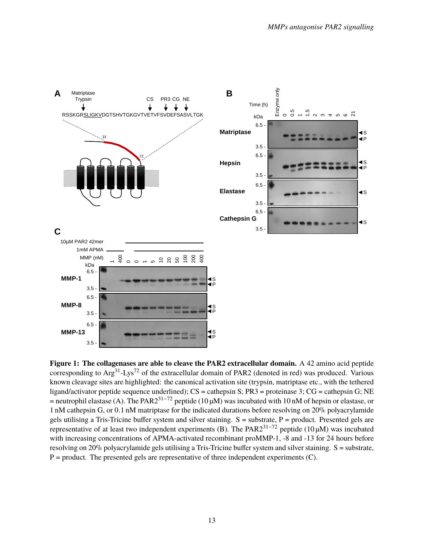<span id="page-12-0"></span>

**Figure 1: The collagenases are able to cleave the PAR2 extracellular domain.** A 42 amino acid peptide corresponding to  $Arg^{31}$ -Lys<sup>72</sup> of the extracellular domain of PAR2 (denoted in red) was produced. Various known cleavage sites are highlighted: the canonical activation site (trypsin, matriptase etc., with the tethered ligand/activator peptide sequence underlined); CS = cathepsin S; PR3 = proteinase 3; CG = cathepsin G; NE = neutrophil elastase (A). The PAR2<sup>31−72</sup> peptide (10  $\mu$ M) was incubated with 10 nM of hepsin or elastase, or 1 nM cathepsin G, or <sup>0</sup>.1 nM matriptase for the indicated durations before resolving on 20% polyacrylamide gels utilising a Tris-Tricine buffer system and silver staining. S = substrate, P = product. Presented gels are representative of at least two independent experiments (B). The PAR231−<sup>72</sup> peptide (10 µM) was incubated with increasing concentrations of APMA-activated recombinant proMMP-1, -8 and -13 for 24 hours before resolving on 20% polyacrylamide gels utilising a Tris-Tricine buffer system and silver staining. S = substrate,  $P =$  product. The presented gels are representative of three independent experiments (C).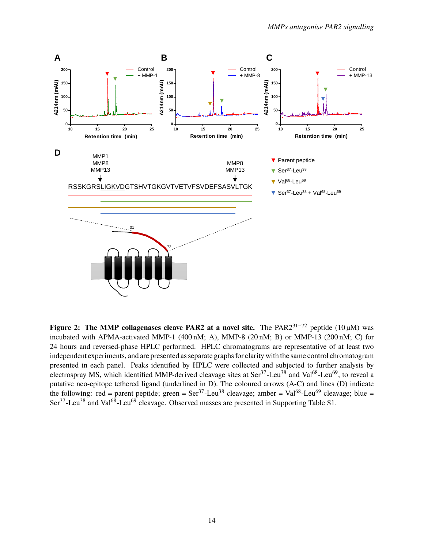<span id="page-13-0"></span>

**Figure 2: The MMP collagenases cleave PAR2 at a novel site.** The PAR231−<sup>72</sup> peptide (10 µM) was incubated with APMA-activated MMP-1 (400 nM; A), MMP-8 (20 nM; B) or MMP-13 (200 nM; C) for 24 hours and reversed-phase HPLC performed. HPLC chromatograms are representative of at least two independent experiments, and are presented as separate graphs for clarity with the same control chromatogram presented in each panel. Peaks identified by HPLC were collected and subjected to further analysis by electrospray MS, which identified MMP-derived cleavage sites at  $\text{Ser}^{37}$ -Leu<sup>38</sup> and Val<sup>68</sup>-Leu<sup>69</sup>, to reveal a putative neo-epitope tethered ligand (underlined in D). The coloured arrows (A-C) and lines (D) indicate the following: red = parent peptide; green =  $\text{Ser}^{37}$ -Leu<sup>38</sup> cleavage; amber = Val<sup>68</sup>-Leu<sup>69</sup> cleavage; blue = Ser<sup>37</sup>-Leu<sup>38</sup> and Val<sup>68</sup>-Leu<sup>69</sup> cleavage. Observed masses are presented in Supporting Table S1.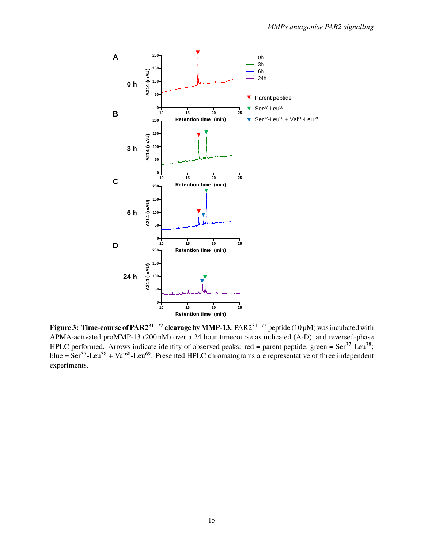<span id="page-14-0"></span>

**Figure 3: Time-course of PAR2**31−<sup>72</sup> **cleavage by MMP-13.** PAR231−<sup>72</sup> peptide (10 µM) was incubated with APMA-activated proMMP-13 (200 nM) over a 24 hour timecourse as indicated (A-D), and reversed-phase HPLC performed. Arrows indicate identity of observed peaks: red = parent peptide; green =  $\text{Ser}^{37}$ -Leu<sup>38</sup>; blue =  $\text{Ser}^{37}$ -Leu<sup>38</sup> + Val<sup>68</sup>-Leu<sup>69</sup>. Presented HPLC chromatograms are representative of three independent experiments.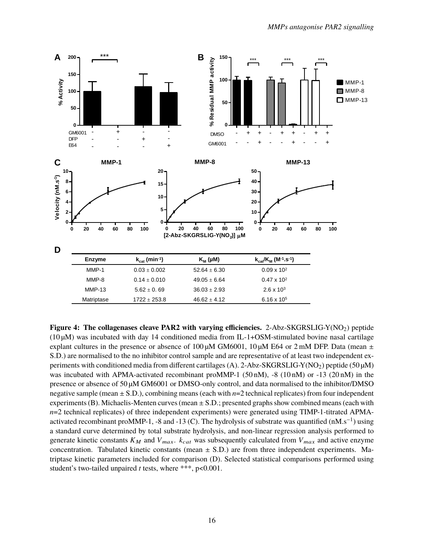<span id="page-15-0"></span>

Figure 4: The collagenases cleave PAR2 with varying efficiencies. 2-Abz-SKGRSLIG-Y(NO<sub>2</sub>) peptide  $(10 \,\mu\text{M})$  was incubated with day 14 conditioned media from IL-1+OSM-stimulated bovine nasal cartilage explant cultures in the presence or absence of 100  $\mu$ M GM6001, 10  $\mu$ M E64 or 2 mM DFP. Data (mean  $\pm$ S.D.) are normalised to the no inhibitor control sample and are representative of at least two independent experiments with conditioned media from different cartilages (A). 2-Abz-SKGRSLIG-Y(NO<sub>2</sub>) peptide (50  $\mu$ M) was incubated with APMA-activated recombinant proMMP-1 (50 nM), -8 (10 nM) or -13 (20 nM) in the presence or absence of 50 µM GM6001 or DMSO-only control, and data normalised to the inhibitor/DMSO negative sample (mean ± S.D.), combining means (each with *n*=2 technical replicates) from four independent experiments (B). Michaelis-Menten curves (mean ± S.D.; presented graphs show combined means (each with *n*=2 technical replicates) of three independent experiments) were generated using TIMP-1-titrated APMAactivated recombinant proMMP-1, -8 and -13 (C). The hydrolysis of substrate was quantified (nM.s<sup>-1</sup>) using a standard curve determined by total substrate hydrolysis, and non-linear regression analysis performed to generate kinetic constants  $K_M$  and  $V_{max}$ .  $k_{cat}$  was subsequently calculated from  $V_{max}$  and active enzyme concentration. Tabulated kinetic constants (mean  $\pm$  S.D.) are from three independent experiments. Matriptase kinetic parameters included for comparison (D). Selected statistical comparisons performed using student's two-tailed unpaired *t* tests, where \*\*\*, p<0.001.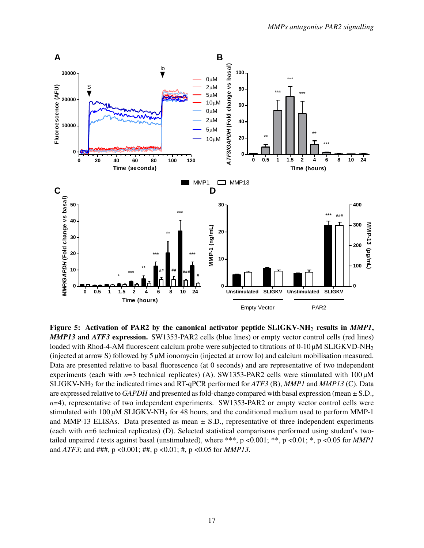<span id="page-16-0"></span>

**Figure 5: Activation of PAR2 by the canonical activator peptide SLIGKV-NH**<sup>2</sup> **results in** *MMP1***,** *MMP13* **and** *ATF3* **expression.** SW1353-PAR2 cells (blue lines) or empty vector control cells (red lines) loaded with Rhod-4-AM fluorescent calcium probe were subjected to titrations of  $0-10 \mu$ M SLIGKVD-NH<sub>2</sub> (injected at arrow S) followed by  $5 \mu$ M ionomycin (injected at arrow Io) and calcium mobilisation measured. Data are presented relative to basal fluorescence (at 0 seconds) and are representative of two independent experiments (each with  $n=3$  technical replicates) (A). SW1353-PAR2 cells were stimulated with  $100 \mu M$ SLIGKV-NH<sup>2</sup> for the indicated times and RT-qPCR performed for *ATF3* (B), *MMP1* and *MMP13* (C). Data are expressed relative to *GAPDH* and presented as fold-change compared with basal expression (mean ± S.D., *n*=4), representative of two independent experiments. SW1353-PAR2 or empty vector control cells were stimulated with  $100 \mu M$  SLIGKV-NH<sub>2</sub> for 48 hours, and the conditioned medium used to perform MMP-1 and MMP-13 ELISAs. Data presented as mean  $\pm$  S.D., representative of three independent experiments (each with *n*=6 technical replicates) (D). Selected statistical comparisons performed using student's twotailed unpaired *t* tests against basal (unstimulated), where \*\*\*, p <0.001; \*\*, p <0.01; \*, p <0.05 for *MMP1* and *ATF3*; and ###, p <0.001; ##, p <0.01; #, p <0.05 for *MMP13*.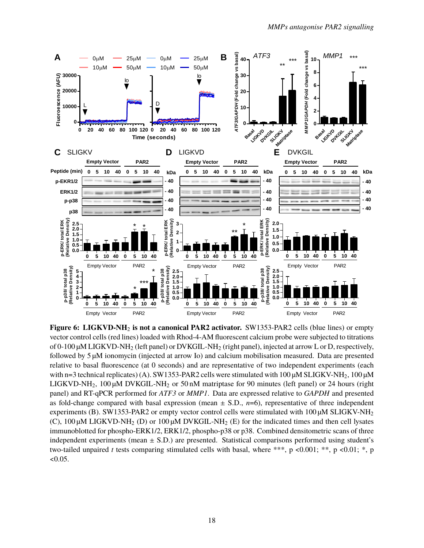<span id="page-17-0"></span>

Figure 6: LIGKVD-NH<sub>2</sub> is not a canonical PAR2 activator. SW1353-PAR2 cells (blue lines) or empty vector control cells (red lines) loaded with Rhod-4-AM fluorescent calcium probe were subjected to titrations of 0-100 µM LIGKVD-NH<sup>2</sup> (left panel) or DVKGIL-NH<sup>2</sup> (right panel), injected at arrow L or D, respectively, followed by 5 µM ionomycin (injected at arrow Io) and calcium mobilisation measured. Data are presented relative to basal fluorescence (at 0 seconds) and are representative of two independent experiments (each with n=3 technical replicates) (A). SW1353-PAR2 cells were stimulated with  $100 \mu M$  SLIGKV-NH<sub>2</sub>,  $100 \mu M$ LIGKVD-NH<sub>2</sub>, 100 µM DVKGIL-NH<sub>2</sub> or 50 nM matriptase for 90 minutes (left panel) or 24 hours (right panel) and RT-qPCR performed for *ATF3* or *MMP1*. Data are expressed relative to *GAPDH* and presented as fold-change compared with basal expression (mean  $\pm$  S.D.,  $n=6$ ), representative of three independent experiments (B). SW1353-PAR2 or empty vector control cells were stimulated with  $100 \mu M$  SLIGKV-NH<sub>2</sub> (C),  $100 \mu M$  LIGKVD-NH<sub>2</sub> (D) or  $100 \mu M$  DVKGIL-NH<sub>2</sub> (E) for the indicated times and then cell lysates immunoblotted for phospho-ERK1/2, ERK1/2, phospho-p38 or p38. Combined densitometric scans of three independent experiments (mean  $\pm$  S.D.) are presented. Statistical comparisons performed using student's two-tailed unpaired *t* tests comparing stimulated cells with basal, where \*\*\*, p <0.001; \*\*, p <0.01; \*, p  $<0.05$ .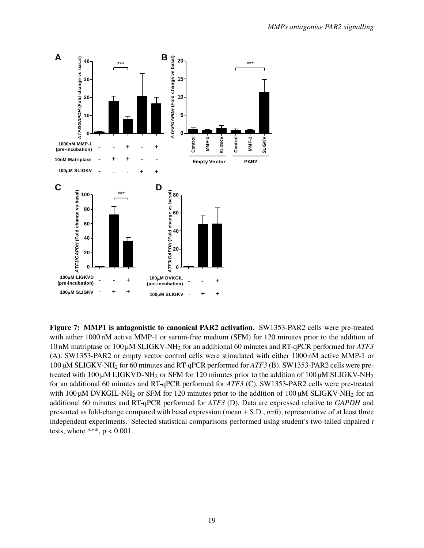<span id="page-18-0"></span>

**Figure 7: MMP1 is antagonistic to canonical PAR2 activation.** SW1353-PAR2 cells were pre-treated with either 1000 nM active MMP-1 or serum-free medium (SFM) for 120 minutes prior to the addition of 10 nM matriptase or 100 µM SLIGKV-NH<sup>2</sup> for an additional 60 minutes and RT-qPCR performed for *ATF3* (A). SW1353-PAR2 or empty vector control cells were stimulated with either 1000 nM active MMP-1 or 100 µM SLIGKV-NH<sup>2</sup> for 60 minutes and RT-qPCR performed for *ATF3* (B). SW1353-PAR2 cells were pretreated with 100  $\mu$ M LIGKVD-NH<sub>2</sub> or SFM for 120 minutes prior to the addition of 100  $\mu$ M SLIGKV-NH<sub>2</sub> for an additional 60 minutes and RT-qPCR performed for *ATF3* (C). SW1353-PAR2 cells were pre-treated with  $100 \mu$ M DVKGIL-NH<sub>2</sub> or SFM for 120 minutes prior to the addition of  $100 \mu$ M SLIGKV-NH<sub>2</sub> for an additional 60 minutes and RT-qPCR performed for *ATF3* (D). Data are expressed relative to *GAPDH* and presented as fold-change compared with basal expression (mean  $\pm$  S.D., *n*=6), representative of at least three independent experiments. Selected statistical comparisons performed using student's two-tailed unpaired *t* tests, where \*\*\*,  $p < 0.001$ .